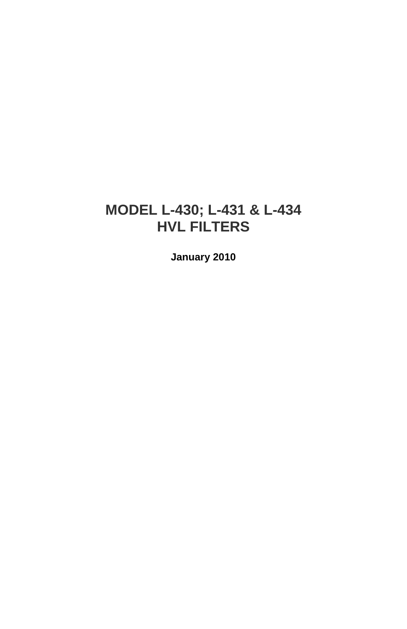## **MODEL L-430; L-431 & L-434 HVL FILTERS**

**January 2010**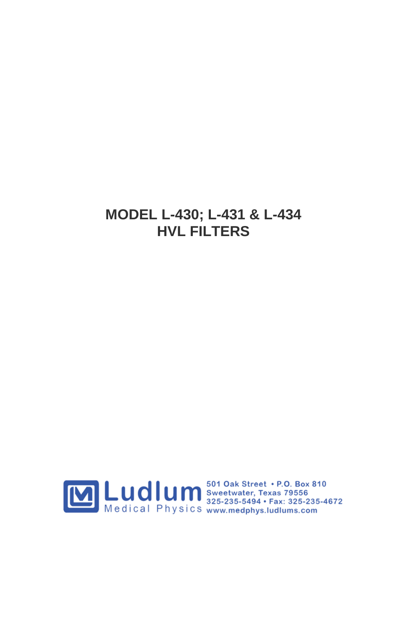### **MODEL L-430; L-431 & L-434 HVL FILTERS**

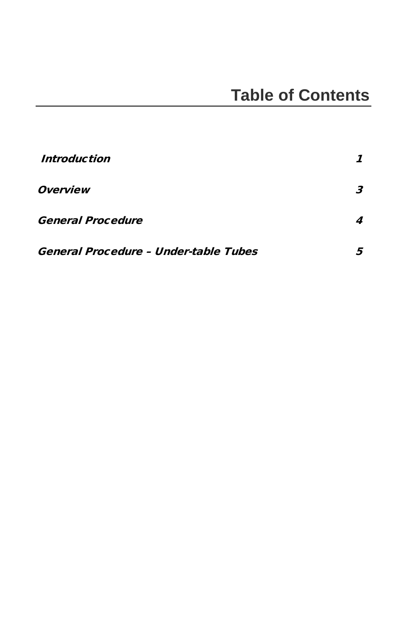| Introduction                          |  |
|---------------------------------------|--|
| <i><b>Overview</b></i>                |  |
| <b>General Procedure</b>              |  |
| General Procedure - Under-table Tubes |  |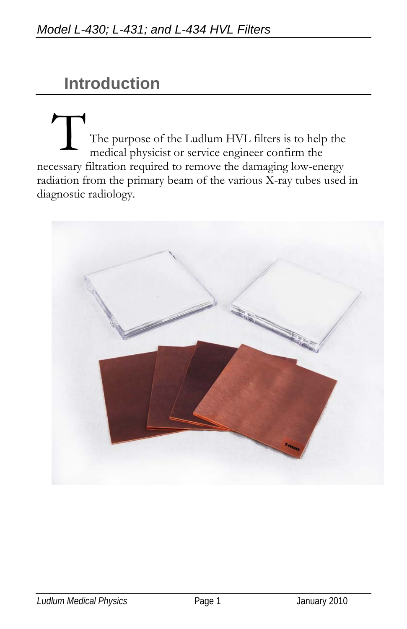# **Introduction**

The purpose of the Ludlum HVL filters is to help the medical physicist or service engineer confirm the necessary filtration required to remove the damaging low-energy radiation from the primary beam of the various X-ray tubes used in diagnostic radiology.  $\mathcal{L}$ 

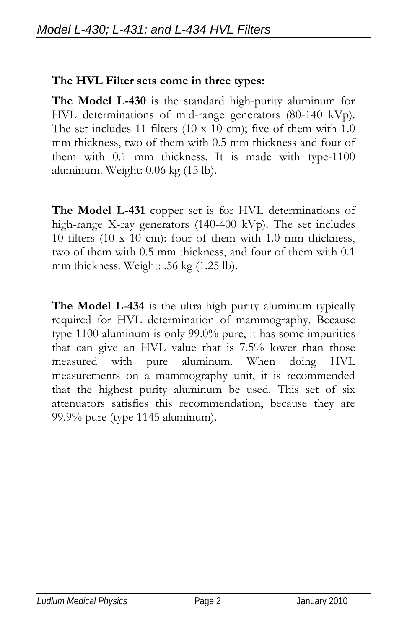#### **The HVL Filter sets come in three types:**

**The Model L-430** is the standard high-purity aluminum for HVL determinations of mid-range generators (80-140 kVp). The set includes 11 filters (10 x 10 cm); five of them with 1.0 mm thickness, two of them with 0.5 mm thickness and four of them with 0.1 mm thickness. It is made with type-1100 aluminum. Weight: 0.06 kg (15 lb).

**The Model L-431** copper set is for HVL determinations of high-range X-ray generators (140-400 kVp). The set includes 10 filters (10 x 10 cm): four of them with 1.0 mm thickness, two of them with 0.5 mm thickness, and four of them with 0.1 mm thickness. Weight: .56 kg (1.25 lb).

**The Model L-434** is the ultra-high purity aluminum typically required for HVL determination of mammography. Because type 1100 aluminum is only 99.0% pure, it has some impurities that can give an HVL value that is 7.5% lower than those measured with pure aluminum. When doing HVL measurements on a mammography unit, it is recommended that the highest purity aluminum be used. This set of six attenuators satisfies this recommendation, because they are 99.9% pure (type 1145 aluminum).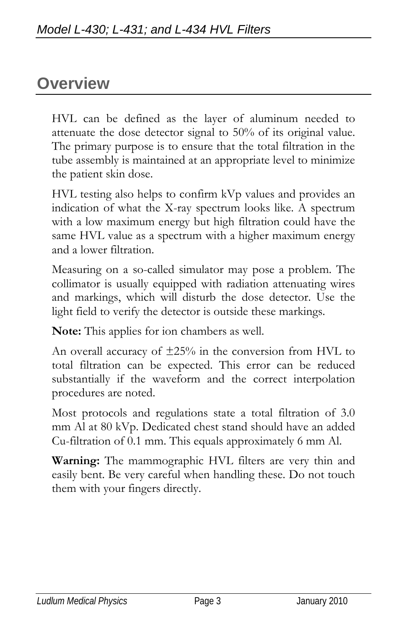## **Overview**

HVL can be defined as the layer of aluminum needed to attenuate the dose detector signal to 50% of its original value. The primary purpose is to ensure that the total filtration in the tube assembly is maintained at an appropriate level to minimize the patient skin dose.

HVL testing also helps to confirm kVp values and provides an indication of what the X-ray spectrum looks like. A spectrum with a low maximum energy but high filtration could have the same HVL value as a spectrum with a higher maximum energy and a lower filtration.

Measuring on a so-called simulator may pose a problem. The collimator is usually equipped with radiation attenuating wires and markings, which will disturb the dose detector. Use the light field to verify the detector is outside these markings.

**Note:** This applies for ion chambers as well.

An overall accuracy of  $\pm 25\%$  in the conversion from HVL to total filtration can be expected. This error can be reduced substantially if the waveform and the correct interpolation procedures are noted.

Most protocols and regulations state a total filtration of 3.0 mm Al at 80 kVp. Dedicated chest stand should have an added Cu-filtration of 0.1 mm. This equals approximately 6 mm Al.

**Warning:** The mammographic HVL filters are very thin and easily bent. Be very careful when handling these. Do not touch them with your fingers directly.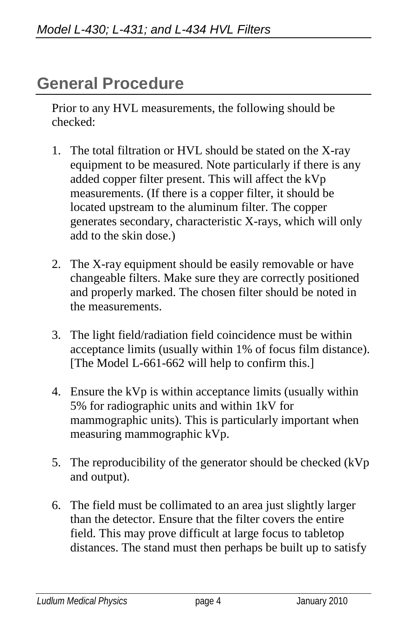## **General Procedure**

Prior to any HVL measurements, the following should be checked:

- 1. The total filtration or HVL should be stated on the X-ray equipment to be measured. Note particularly if there is any added copper filter present. This will affect the kVp measurements. (If there is a copper filter, it should be located upstream to the aluminum filter. The copper generates secondary, characteristic X-rays, which will only add to the skin dose.)
- 2. The X-ray equipment should be easily removable or have changeable filters. Make sure they are correctly positioned and properly marked. The chosen filter should be noted in the measurements.
- 3. The light field/radiation field coincidence must be within acceptance limits (usually within 1% of focus film distance). [The Model L-661-662 will help to confirm this.]
- 4. Ensure the kVp is within acceptance limits (usually within 5% for radiographic units and within 1kV for mammographic units). This is particularly important when measuring mammographic kVp.
- 5. The reproducibility of the generator should be checked (kVp and output).
- 6. The field must be collimated to an area just slightly larger than the detector. Ensure that the filter covers the entire field. This may prove difficult at large focus to tabletop distances. The stand must then perhaps be built up to satisfy